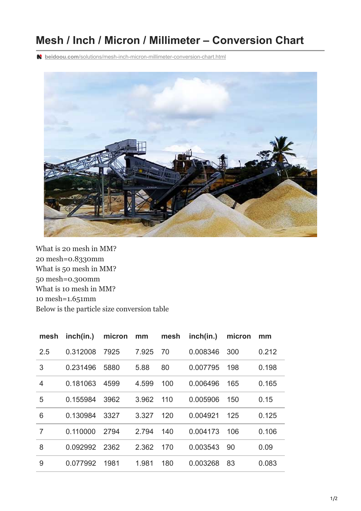## **Mesh / Inch / Micron / Millimeter – Conversion Chart**

**beidoou.com**[/solutions/mesh-inch-micron-millimeter-conversion-chart.html](https://www.beidoou.com/solutions/mesh-inch-micron-millimeter-conversion-chart.html)



What is 20 mesh in MM? 20 mesh=0.8330mm What is 50 mesh in MM? 50 mesh=0.300mm What is 10 mesh in MM? 10 mesh=1.651mm Below is the particle size conversion table

| mesh           | inch(in.) | micron | mm    | mesh | inch(in.) | micron | mm    |
|----------------|-----------|--------|-------|------|-----------|--------|-------|
| 2.5            | 0.312008  | 7925   | 7.925 | 70   | 0.008346  | 300    | 0.212 |
| 3              | 0.231496  | 5880   | 5.88  | 80   | 0.007795  | 198    | 0.198 |
| $\overline{4}$ | 0.181063  | 4599   | 4.599 | 100  | 0.006496  | 165    | 0.165 |
| 5              | 0.155984  | 3962   | 3.962 | 110  | 0.005906  | 150    | 0.15  |
| 6              | 0.130984  | 3327   | 3.327 | 120  | 0.004921  | 125    | 0.125 |
| $\overline{7}$ | 0.110000  | 2794   | 2.794 | 140  | 0.004173  | 106    | 0.106 |
| 8              | 0.092992  | 2362   | 2.362 | 170  | 0.003543  | 90     | 0.09  |
| 9              | 0.077992  | 1981   | 1.981 | 180  | 0.003268  | 83     | 0.083 |